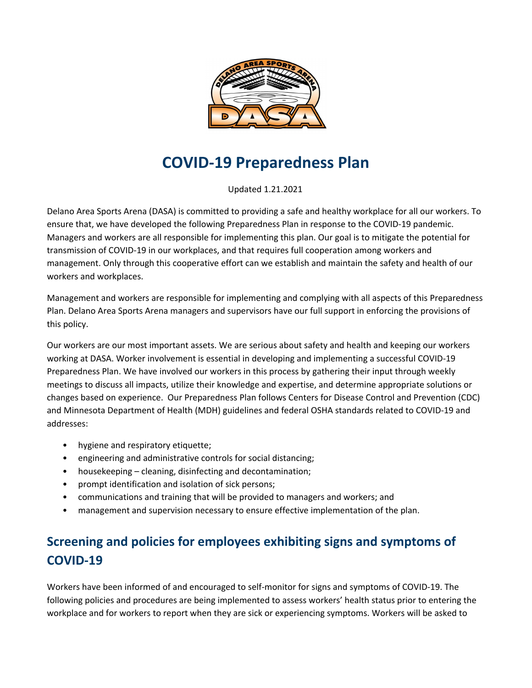

# **COVID-19 Preparedness Plan**

Updated 1.21.2021

Delano Area Sports Arena (DASA) is committed to providing a safe and healthy workplace for all our workers. To ensure that, we have developed the following Preparedness Plan in response to the COVID-19 pandemic. Managers and workers are all responsible for implementing this plan. Our goal is to mitigate the potential for transmission of COVID-19 in our workplaces, and that requires full cooperation among workers and management. Only through this cooperative effort can we establish and maintain the safety and health of our workers and workplaces.

Management and workers are responsible for implementing and complying with all aspects of this Preparedness Plan. Delano Area Sports Arena managers and supervisors have our full support in enforcing the provisions of this policy.

Our workers are our most important assets. We are serious about safety and health and keeping our workers working at DASA. Worker involvement is essential in developing and implementing a successful COVID-19 Preparedness Plan. We have involved our workers in this process by gathering their input through weekly meetings to discuss all impacts, utilize their knowledge and expertise, and determine appropriate solutions or changes based on experience. Our Preparedness Plan follows Centers for Disease Control and Prevention (CDC) and Minnesota Department of Health (MDH) guidelines and federal OSHA standards related to COVID-19 and addresses:

- hygiene and respiratory etiquette;
- engineering and administrative controls for social distancing;
- housekeeping cleaning, disinfecting and decontamination;
- prompt identification and isolation of sick persons;
- communications and training that will be provided to managers and workers; and
- management and supervision necessary to ensure effective implementation of the plan.

# **Screening and policies for employees exhibiting signs and symptoms of COVID-19**

Workers have been informed of and encouraged to self-monitor for signs and symptoms of COVID-19. The following policies and procedures are being implemented to assess workers' health status prior to entering the workplace and for workers to report when they are sick or experiencing symptoms. Workers will be asked to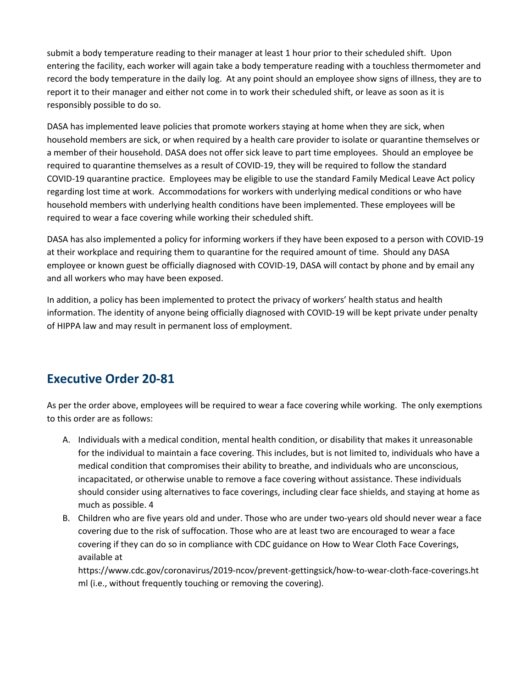submit a body temperature reading to their manager at least 1 hour prior to their scheduled shift. Upon entering the facility, each worker will again take a body temperature reading with a touchless thermometer and record the body temperature in the daily log. At any point should an employee show signs of illness, they are to report it to their manager and either not come in to work their scheduled shift, or leave as soon as it is responsibly possible to do so.

DASA has implemented leave policies that promote workers staying at home when they are sick, when household members are sick, or when required by a health care provider to isolate or quarantine themselves or a member of their household. DASA does not offer sick leave to part time employees. Should an employee be required to quarantine themselves as a result of COVID-19, they will be required to follow the standard COVID-19 quarantine practice. Employees may be eligible to use the standard Family Medical Leave Act policy regarding lost time at work. Accommodations for workers with underlying medical conditions or who have household members with underlying health conditions have been implemented. These employees will be required to wear a face covering while working their scheduled shift.

DASA has also implemented a policy for informing workers if they have been exposed to a person with COVID-19 at their workplace and requiring them to quarantine for the required amount of time. Should any DASA employee or known guest be officially diagnosed with COVID-19, DASA will contact by phone and by email any and all workers who may have been exposed.

In addition, a policy has been implemented to protect the privacy of workers' health status and health information. The identity of anyone being officially diagnosed with COVID-19 will be kept private under penalty of HIPPA law and may result in permanent loss of employment.

### **Executive Order 20-81**

As per the order above, employees will be required to wear a face covering while working. The only exemptions to this order are as follows:

- A. Individuals with a medical condition, mental health condition, or disability that makes it unreasonable for the individual to maintain a face covering. This includes, but is not limited to, individuals who have a medical condition that compromises their ability to breathe, and individuals who are unconscious, incapacitated, or otherwise unable to remove a face covering without assistance. These individuals should consider using alternatives to face coverings, including clear face shields, and staying at home as much as possible. 4
- B. Children who are five years old and under. Those who are under two-years old should never wear a face covering due to the risk of suffocation. Those who are at least two are encouraged to wear a face covering if they can do so in compliance with CDC guidance on How to Wear Cloth Face Coverings, available at

https://www.cdc.gov/coronavirus/2019-ncov/prevent-gettingsick/how-to-wear-cloth-face-coverings.ht ml (i.e., without frequently touching or removing the covering).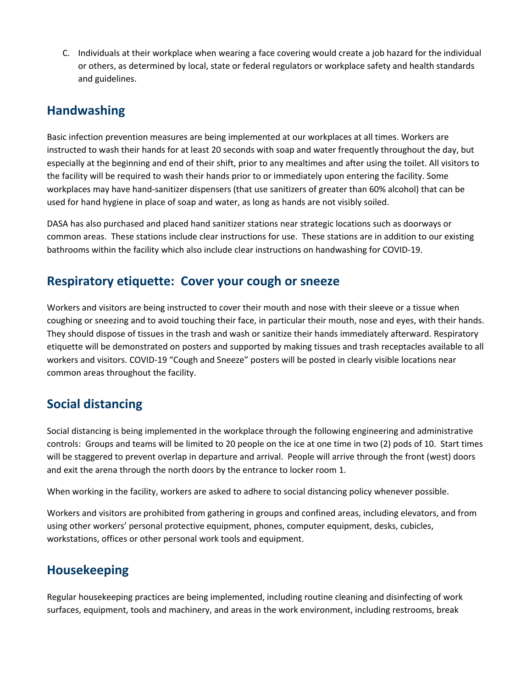C. Individuals at their workplace when wearing a face covering would create a job hazard for the individual or others, as determined by local, state or federal regulators or workplace safety and health standards and guidelines.

### **Handwashing**

Basic infection prevention measures are being implemented at our workplaces at all times. Workers are instructed to wash their hands for at least 20 seconds with soap and water frequently throughout the day, but especially at the beginning and end of their shift, prior to any mealtimes and after using the toilet. All visitors to the facility will be required to wash their hands prior to or immediately upon entering the facility. Some workplaces may have hand-sanitizer dispensers (that use sanitizers of greater than 60% alcohol) that can be used for hand hygiene in place of soap and water, as long as hands are not visibly soiled.

DASA has also purchased and placed hand sanitizer stations near strategic locations such as doorways or common areas. These stations include clear instructions for use. These stations are in addition to our existing bathrooms within the facility which also include clear instructions on handwashing for COVID-19.

### **Respiratory etiquette: Cover your cough or sneeze**

Workers and visitors are being instructed to cover their mouth and nose with their sleeve or a tissue when coughing or sneezing and to avoid touching their face, in particular their mouth, nose and eyes, with their hands. They should dispose of tissues in the trash and wash or sanitize their hands immediately afterward. Respiratory etiquette will be demonstrated on posters and supported by making tissues and trash receptacles available to all workers and visitors. COVID-19 "Cough and Sneeze" posters will be posted in clearly visible locations near common areas throughout the facility.

# **Social distancing**

Social distancing is being implemented in the workplace through the following engineering and administrative controls: Groups and teams will be limited to 20 people on the ice at one time in two (2) pods of 10. Start times will be staggered to prevent overlap in departure and arrival. People will arrive through the front (west) doors and exit the arena through the north doors by the entrance to locker room 1.

When working in the facility, workers are asked to adhere to social distancing policy whenever possible.

Workers and visitors are prohibited from gathering in groups and confined areas, including elevators, and from using other workers' personal protective equipment, phones, computer equipment, desks, cubicles, workstations, offices or other personal work tools and equipment.

### **Housekeeping**

Regular housekeeping practices are being implemented, including routine cleaning and disinfecting of work surfaces, equipment, tools and machinery, and areas in the work environment, including restrooms, break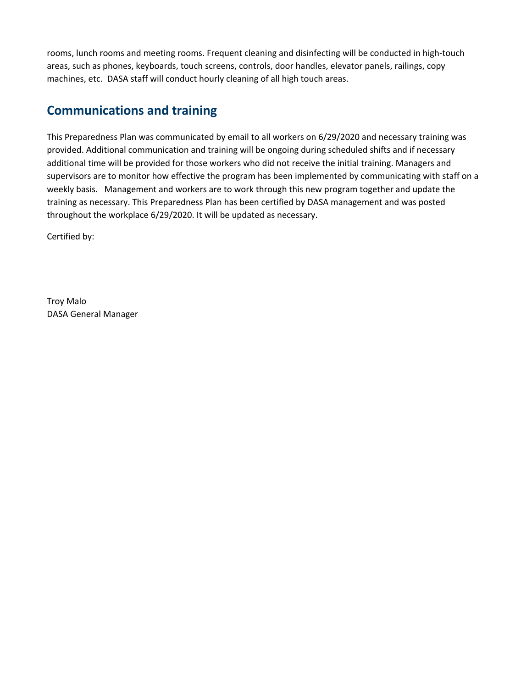rooms, lunch rooms and meeting rooms. Frequent cleaning and disinfecting will be conducted in high-touch areas, such as phones, keyboards, touch screens, controls, door handles, elevator panels, railings, copy machines, etc. DASA staff will conduct hourly cleaning of all high touch areas.

### **Communications and training**

This Preparedness Plan was communicated by email to all workers on 6/29/2020 and necessary training was provided. Additional communication and training will be ongoing during scheduled shifts and if necessary additional time will be provided for those workers who did not receive the initial training. Managers and supervisors are to monitor how effective the program has been implemented by communicating with staff on a weekly basis. Management and workers are to work through this new program together and update the training as necessary. This Preparedness Plan has been certified by DASA management and was posted throughout the workplace 6/29/2020. It will be updated as necessary.

Certified by:

Troy Malo DASA General Manager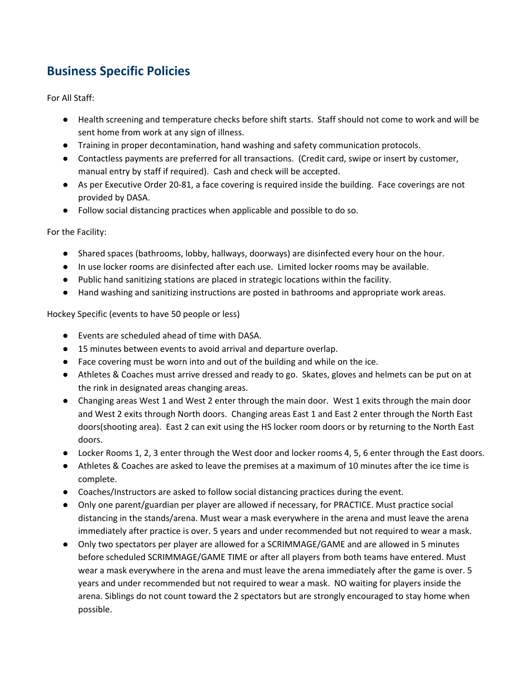# **Business Specific Policies**

For All Staff:

- Health screening and temperature checks before shift starts. Staff should not come to work and will be sent home from work at any sign of illness.
- Training in proper decontamination, hand washing and safety communication protocols.
- Contactless payments are preferred for all transactions. (Credit card, swipe or insert by customer, manual entry by staff if required). Cash and check will be accepted.
- As per Executive Order 20-81, a face covering is required inside the building. Face coverings are not provided by DASA.
- Follow social distancing practices when applicable and possible to do so.

For the Facility:

- Shared spaces (bathrooms, lobby, hallways, doorways) are disinfected every hour on the hour.
- In use locker rooms are disinfected after each use. Limited locker rooms may be available.
- Public hand sanitizing stations are placed in strategic locations within the facility.
- Hand washing and sanitizing instructions are posted in bathrooms and appropriate work areas.

Hockey Specific (events to have 50 people or less)

- Events are scheduled ahead of time with DASA.
- 15 minutes between events to avoid arrival and departure overlap.
- Face covering must be worn into and out of the building and while on the ice.
- Athletes & Coaches must arrive dressed and ready to go. Skates, gloves and helmets can be put on at the rink in designated areas changing areas.
- Changing areas West 1 and West 2 enter through the main door. West 1 exits through the main door and West 2 exits through North doors. Changing areas East 1 and East 2 enter through the North East doors(shooting area). East 2 can exit using the HS locker room doors or by returning to the North East doors.
- Locker Rooms 1, 2, 3 enter through the West door and locker rooms 4, 5, 6 enter through the East doors.
- Athletes & Coaches are asked to leave the premises at a maximum of 10 minutes after the ice time is complete.
- Coaches/Instructors are asked to follow social distancing practices during the event.
- Only one parent/guardian per player are allowed if necessary, for PRACTICE. Must practice social distancing in the stands/arena. Must wear a mask everywhere in the arena and must leave the arena immediately after practice is over. 5 years and under recommended but not required to wear a mask.
- Only two spectators per player are allowed for a SCRIMMAGE/GAME and are allowed in 5 minutes before scheduled SCRIMMAGE/GAME TIME or after all players from both teams have entered. Must wear a mask everywhere in the arena and must leave the arena immediately after the game is over. 5 years and under recommended but not required to wear a mask. NO waiting for players inside the arena. Siblings do not count toward the 2 spectators but are strongly encouraged to stay home when possible.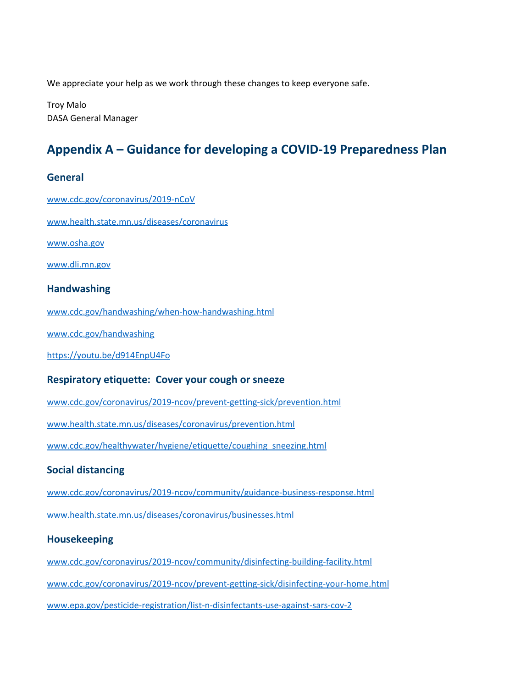We appreciate your help as we work through these changes to keep everyone safe.

Troy Malo DASA General Manager

# **Appendix A – Guidance for developing a COVID-19 Preparedness Plan**

#### **General**

[www.cdc.gov/coronavirus/2019-nCoV](http://www.cdc.gov/coronavirus/2019-nCoV) [www.health.state.mn.us/diseases/coronavirus](https://www.health.state.mn.us/diseases/coronavirus/index.html) [www.osha.gov](http://www.osha.gov/) [www.dli.mn.gov](http://www.dli.mn.gov/) **Handwashing** [www.cdc.gov/handwashing/when-how-handwashing.html](http://www.cdc.gov/handwashing/when-how-handwashing.html) [www.cdc.gov/handwashing](https://www.cdc.gov/handwashing/index.html) <https://youtu.be/d914EnpU4Fo> **Respiratory etiquette: Cover your cough or sneeze** [www.cdc.gov/coronavirus/2019-ncov/prevent-getting-sick/prevention.html](http://www.cdc.gov/coronavirus/2019-ncov/prevent-getting-sick/prevention.html) [www.health.state.mn.us/diseases/coronavirus/prevention.html](http://www.health.state.mn.us/diseases/coronavirus/prevention.html) [www.cdc.gov/healthywater/hygiene/etiquette/coughing\\_sneezing.html](http://www.cdc.gov/healthywater/hygiene/etiquette/coughing_sneezing.html) **Social distancing** [www.cdc.gov/coronavirus/2019-ncov/community/guidance-business-response.html](http://www.cdc.gov/coronavirus/2019-ncov/community/guidance-business-response.html) [www.health.state.mn.us/diseases/coronavirus/businesses.html](http://www.health.state.mn.us/diseases/coronavirus/businesses.html) **Housekeeping**

[www.cdc.gov/coronavirus/2019-ncov/community/disinfecting-building-facility.html](http://www.cdc.gov/coronavirus/2019-ncov/community/disinfecting-building-facility.html) [www.cdc.gov/coronavirus/2019-ncov/prevent-getting-sick/disinfecting-your-home.html](https://www.cdc.gov/coronavirus/2019-ncov/prevent-getting-sick/disinfecting-your-home.html) [www.epa.gov/pesticide-registration/list-n-disinfectants-use-against-sars-cov-2](https://www.epa.gov/pesticide-registration/list-n-disinfectants-use-against-sars-cov-2)